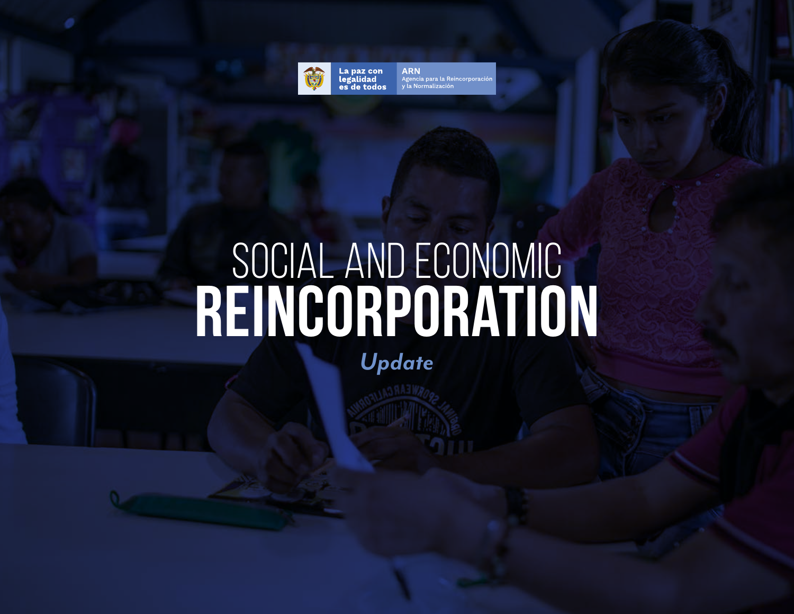

La paz con legalidad es de todos **ARN** Agencia para la Reincorporaciór y la Normalización

# Social and Economic **Reincorporation**

*Update*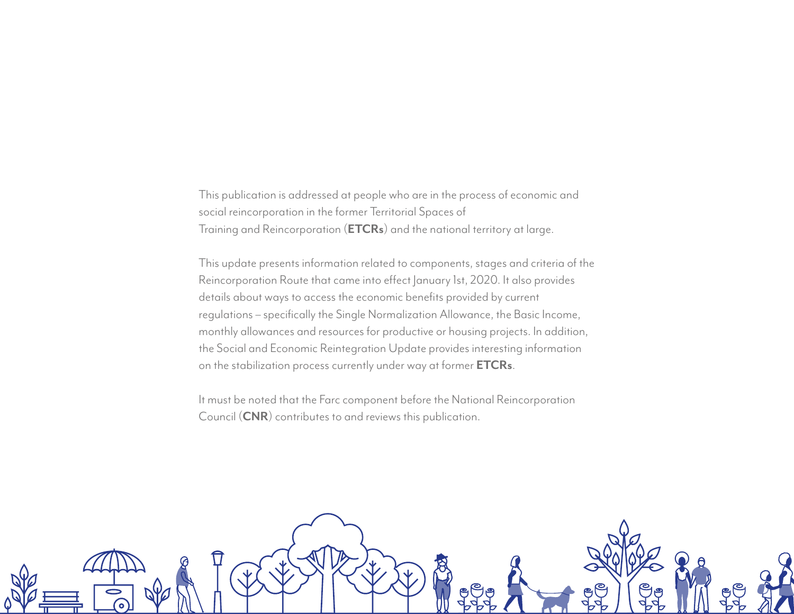This publication is addressed at people who are in the process of economic and social reincorporation in the former Territorial Spaces of Training and Reincorporation (**ETCRs**) and the national territory at large.

This update presents information related to components, stages and criteria of the Reincorporation Route that came into effect January 1st, 2020. It also provides details about ways to access the economic benefits provided by current regulations – specifically the Single Normalization Allowance, the Basic Income, monthly allowances and resources for productive or housing projects. In addition, the Social and Economic Reintegration Update provides interesting information on the stabilization process currently under way at former **ETCRs**.

It must be noted that the Farc component before the National Reincorporation Council (**CNR**) contributes to and reviews this publication.

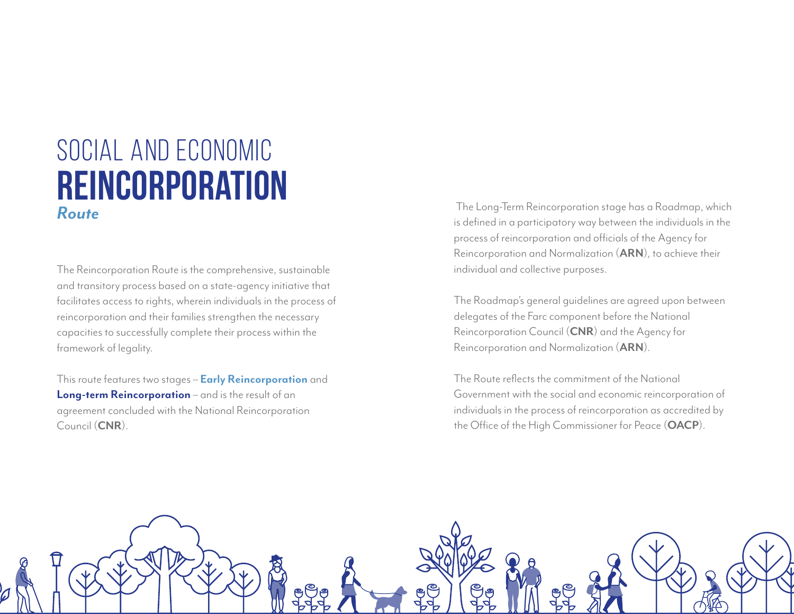### Social and Economic **Reincorporation** *Route*

The Reincorporation Route is the comprehensive, sustainable and transitory process based on a state-agency initiative that facilitates access to rights, wherein individuals in the process of reincorporation and their families strengthen the necessary capacities to successfully complete their process within the framework of legality.

This route features two stages – **Early Reincorporation** and **Long-term Reincorporation** – and is the result of an agreement concluded with the National Reincorporation Council (**CNR**).

 The Long-Term Reincorporation stage has a Roadmap, which is defined in a participatory way between the individuals in the process of reincorporation and officials of the Agency for Reincorporation and Normalization (**ARN**), to achieve their individual and collective purposes.

The Roadmap's general guidelines are agreed upon between delegates of the Farc component before the National Reincorporation Council (**CNR**) and the Agency for Reincorporation and Normalization (**ARN**).

The Route reflects the commitment of the National Government with the social and economic reincorporation of individuals in the process of reincorporation as accredited by the Office of the High Commissioner for Peace (**OACP**).

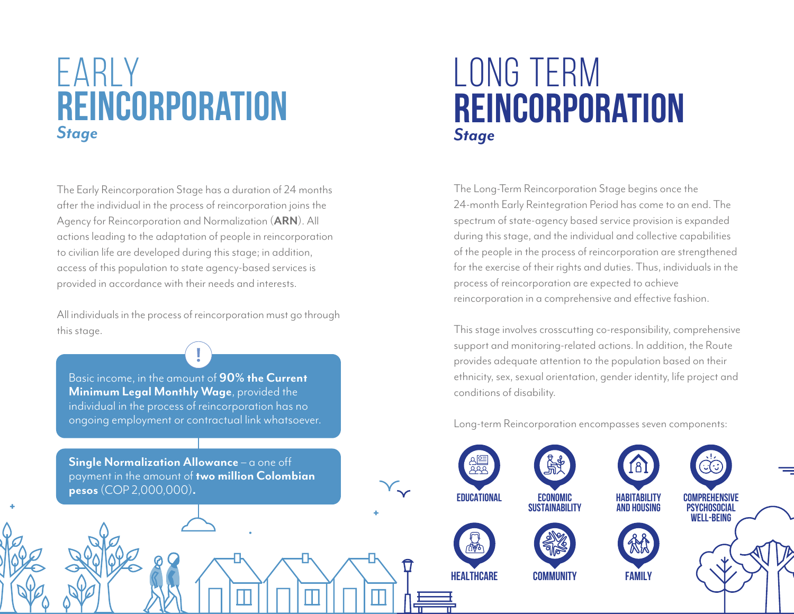## EARLY **reincorporation** *Stage*

The Early Reincorporation Stage has a duration of 24 months after the individual in the process of reincorporation joins the Agency for Reincorporation and Normalization (**ARN**). All actions leading to the adaptation of people in reincorporation to civilian life are developed during this stage; in addition, access of this population to state agency-based services is provided in accordance with their needs and interests.

All individuals in the process of reincorporation must go through this stage.

Basic income, in the amount of **90% the Current Minimum Legal Monthly Wage**, provided the individual in the process of reincorporation has no ongoing employment or contractual link whatsoever. **Single Normalization Allowance** – a one off payment in the amount of **two million Colombian pesos** (COP 2,000,000)**.**

## long term **reincorporation** *Stage*

The Long-Term Reincorporation Stage begins once the 24-month Early Reintegration Period has come to an end. The spectrum of state-agency based service provision is expanded during this stage, and the individual and collective capabilities of the people in the process of reincorporation are strengthened for the exercise of their rights and duties. Thus, individuals in the process of reincorporation are expected to achieve reincorporation in a comprehensive and effective fashion.

This stage involves crosscutting co-responsibility, comprehensive support and monitoring-related actions. In addition, the Route provides adequate attention to the population based on their ethnicity, sex, sexual orientation, gender identity, life project and conditions of disability.

Long-term Reincorporation encompasses seven components:









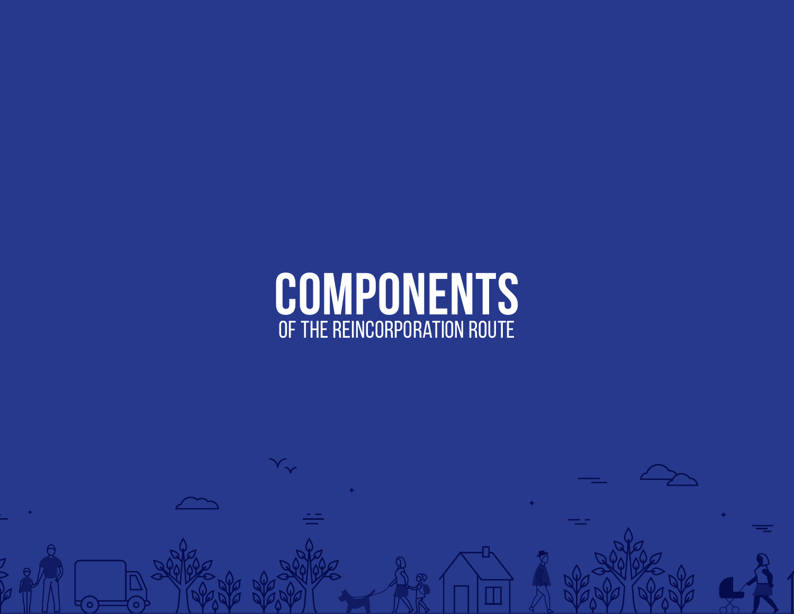

 $\overline{\mathbb{Q}}$ 

 $\overline{\mathsf{T}}$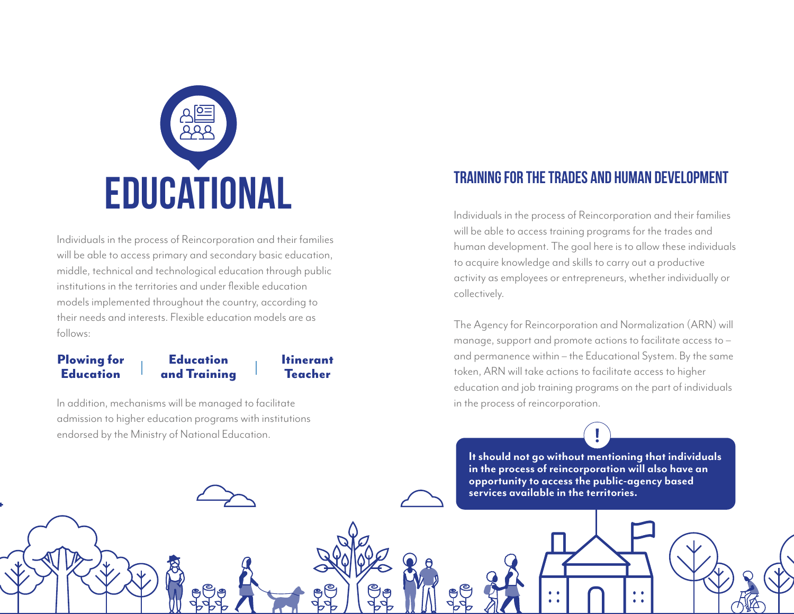

Individuals in the process of Reincorporation and their families will be able to access primary and secondary basic education, middle, technical and technological education through public institutions in the territories and under flexible education models implemented throughout the country, according to their needs and interests. Flexible education models are as follows:

#### **Education** and Training Plowing for **Education**

Itinerant Teacher

In addition, mechanisms will be managed to facilitate admission to higher education programs with institutions endorsed by the Ministry of National Education.

#### **Training for the trades and human development**

Individuals in the process of Reincorporation and their families will be able to access training programs for the trades and human development. The goal here is to allow these individuals to acquire knowledge and skills to carry out a productive activity as employees or entrepreneurs, whether individually or collectively.

The Agency for Reincorporation and Normalization (ARN) will manage, support and promote actions to facilitate access to – and permanence within – the Educational System. By the same token, ARN will take actions to facilitate access to higher education and job training programs on the part of individuals in the process of reincorporation.

**It should not go without mentioning that individuals in the process of reincorporation will also have an opportunity to access the public-agency based services available in the territories.**

 $\bullet$ 

 $\bullet$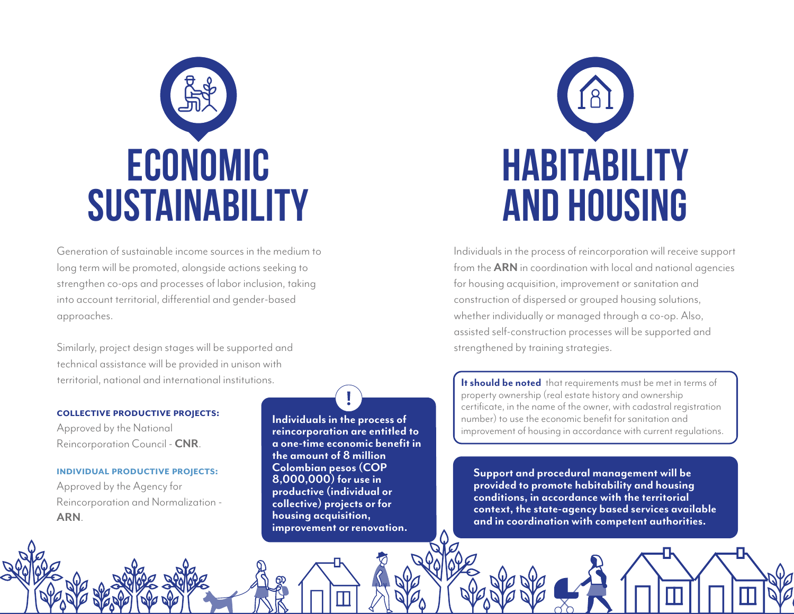

Generation of sustainable income sources in the medium to long term will be promoted, alongside actions seeking to strengthen co-ops and processes of labor inclusion, taking into account territorial, differential and gender-based approaches.

Similarly, project design stages will be supported and technical assistance will be provided in unison with territorial, national and international institutions.

#### **COLLECTIVE PRODUCTIVE PROJECTS:**

Approved by the National Reincorporation Council - **CNR**.

#### **INDIVIDUAL PRODUCTIVE PROJECTS:**

Approved by the Agency for Reincorporation and Normalization - **ARN**.

**Individuals in the process of reincorporation are entitled to a one-time economic benefit in the amount of 8 million Colombian pesos (COP 8,000,000) for use in productive (individual or collective) projects or for housing acquisition, improvement or renovation.**



Individuals in the process of reincorporation will receive support from the **ARN** in coordination with local and national agencies for housing acquisition, improvement or sanitation and construction of dispersed or grouped housing solutions, whether individually or managed through a co-op. Also, assisted self-construction processes will be supported and strengthened by training strategies.

**It should be noted** that requirements must be met in terms of property ownership (real estate history and ownership certificate, in the name of the owner, with cadastral registration number) to use the economic benefit for sanitation and improvement of housing in accordance with current regulations.

**Support and procedural management will be provided to promote habitability and housing conditions, in accordance with the territorial context, the state-agency based services available and in coordination with competent authorities.**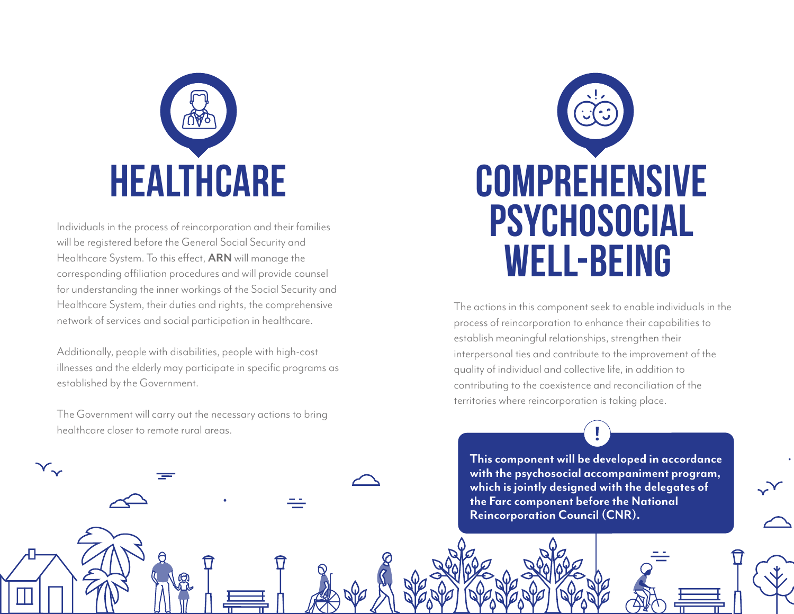

Individuals in the process of reincorporation and their families will be registered before the General Social Security and Healthcare System. To this effect, **ARN** will manage the corresponding affiliation procedures and will provide counsel for understanding the inner workings of the Social Security and Healthcare System, their duties and rights, the comprehensive network of services and social participation in healthcare.

Additionally, people with disabilities, people with high-cost illnesses and the elderly may participate in specific programs as established by the Government.

The Government will carry out the necessary actions to bring healthcare closer to remote rural areas.

 $\mathsf{Y}_{\mathsf{v}}$ 



The actions in this component seek to enable individuals in the process of reincorporation to enhance their capabilities to establish meaningful relationships, strengthen their interpersonal ties and contribute to the improvement of the quality of individual and collective life, in addition to contributing to the coexistence and reconciliation of the territories where reincorporation is taking place.

**This component will be developed in accordance with the psychosocial accompaniment program, which is jointly designed with the delegates of the Farc component before the National Reincorporation Council (CNR).**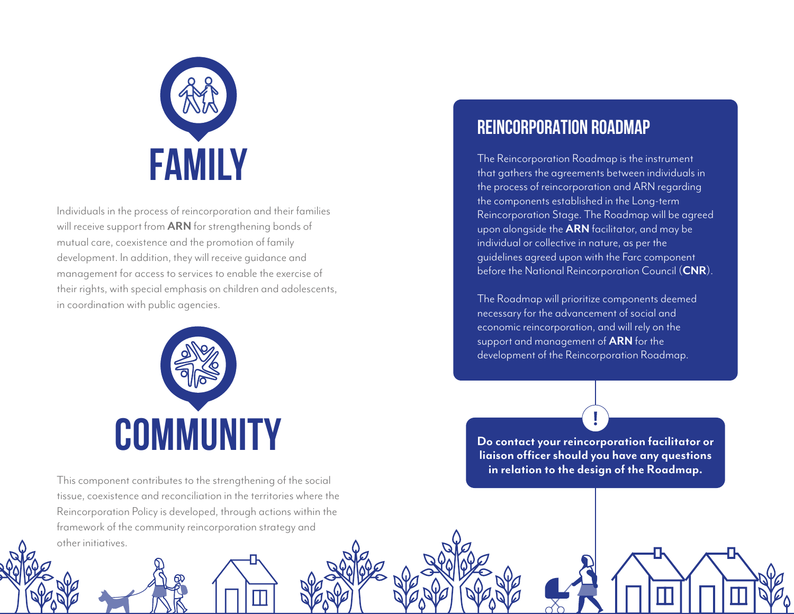

Individuals in the process of reincorporation and their families will receive support from **ARN** for strengthening bonds of mutual care, coexistence and the promotion of family development. In addition, they will receive guidance and management for access to services to enable the exercise of their rights, with special emphasis on children and adolescents, in coordination with public agencies.



This component contributes to the strengthening of the social tissue, coexistence and reconciliation in the territories where the Reincorporation Policy is developed, through actions within the framework of the community reincorporation strategy and other initiatives.

### **REINCORPORATION ROADMAP**

The Reincorporation Roadmap is the instrument that gathers the agreements between individuals in the process of reincorporation and ARN regarding the components established in the Long-term Reincorporation Stage. The Roadmap will be agreed upon alongside the **ARN** facilitator, and may be individual or collective in nature, as per the guidelines agreed upon with the Farc component before the National Reincorporation Council (**CNR**).

The Roadmap will prioritize components deemed necessary for the advancement of social and economic reincorporation, and will rely on the support and management of **ARN** for the development of the Reincorporation Roadmap.

**Do contact your reincorporation facilitator or liaison officer should you have any questions in relation to the design of the Roadmap.**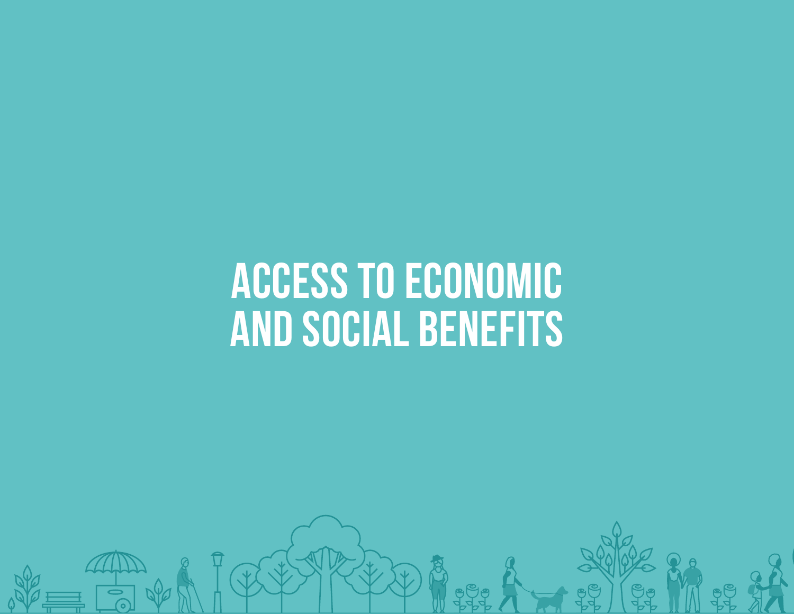# **ACCESS TO ECONOMIC AND SOCIAL BENEFITS**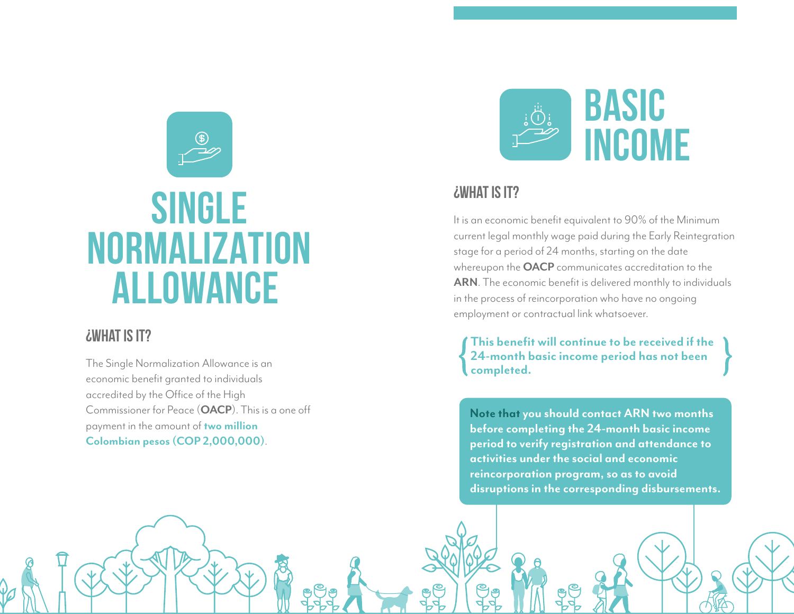

## **SINGLE NORMALIZATION ALLOWANCE**

#### **¿what is it?**

The Single Normalization Allowance is an economic benefit granted to individuals accredited by the Office of the High Commissioner for Peace (**OACP**). This is a one off payment in the amount of **two million Colombian pesos (COP 2,000,000)**.



#### **¿what is it?**

**introducción 02**

It is an economic benefit equivalent to 90% of the Minimum current legal monthly wage paid during the Early Reintegration stage for a period of 24 months, starting on the date whereupon the **OACP** communicates accreditation to the **ARN**. The economic benefit is delivered monthly to individuals in the process of reincorporation who have no ongoing employment or contractual link whatsoever.

**This benefit will continue to be received if the 24-month basic income period has not been completed.**

**Note that you should contact ARN two months before completing the 24-month basic income period to verify registration and attendance to activities under the social and economic reincorporation program, so as to avoid disruptions in the corresponding disbursements.**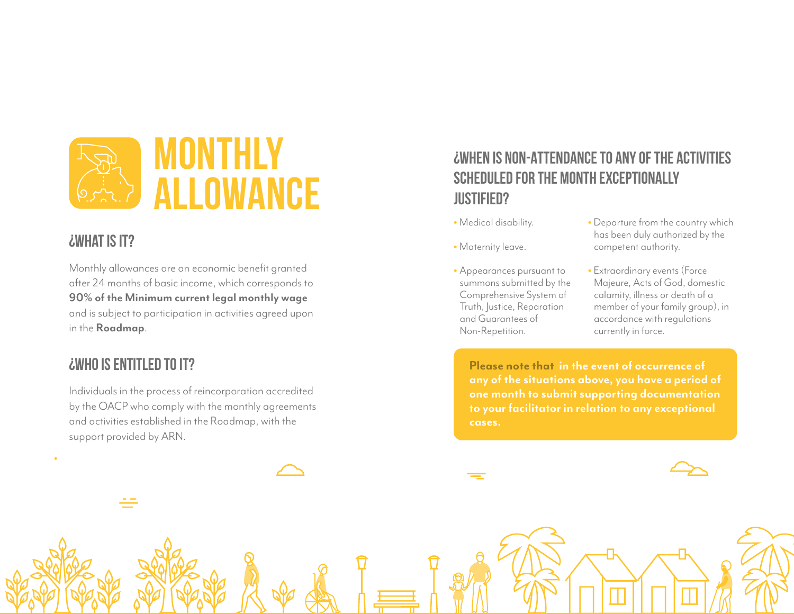

#### **¿what is it?**

Monthly allowances are an economic benefit granted after 24 months of basic income, which corresponds to **90% of the Minimum current legal monthly wage** and is subject to participation in activities agreed upon in the **Roadmap**.

#### **¿Who is entitled to it?**

Individuals in the process of reincorporation accredited by the OACP who comply with the monthly agreements and activities established in the Roadmap, with the support provided by ARN.

#### **¿WHEN IS NON-ATTENDANCE TO ANY OF THE ACTIVITIES SCHEDULED FOR THE MONTH EXCEPTIONALLY JUSTIFIED?**

- Medical disability.
- Maternity leave.
- Appearances pursuant to summons submitted by the Comprehensive System of Truth, Justice, Reparation and Guarantees of Non-Repetition.
- Departure from the country which has been duly authorized by the competent authority.
- Extraordinary events (Force Majeure, Acts of God, domestic calamity, illness or death of a member of your family group), in accordance with regulations currently in force.

**Please note that in the event of occurrence of any of the situations above, you have a period of one month to submit supporting documentation to your facilitator in relation to any exceptional cases.**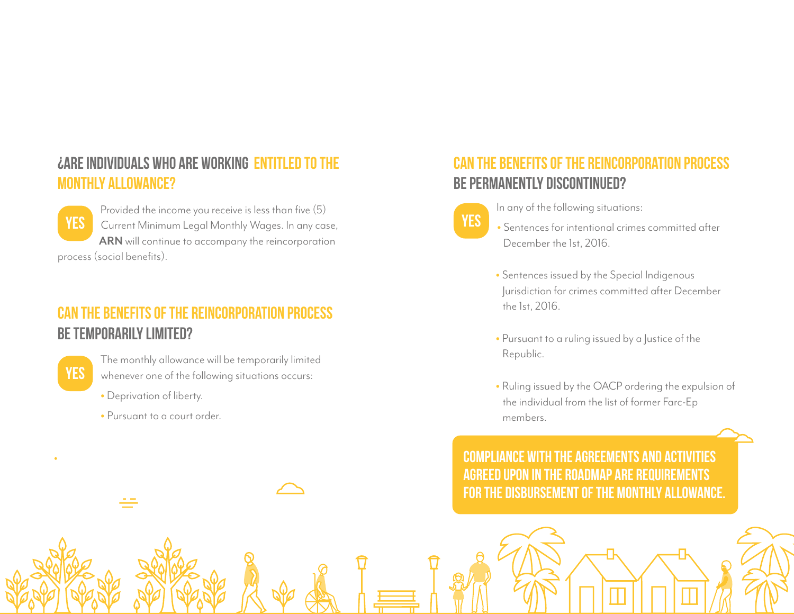#### **¿Are individuals who are working entitled to the monthly allowance?**

**YES**

Provided the income you receive is less than five (5) Current Minimum Legal Monthly Wages. In any case, **ARN** will continue to accompany the reincorporation process (social benefits).

### **Can the benefits of the reincorporation process be temporarily limited?**

**yes**

The monthly allowance will be temporarily limited whenever one of the following situations occurs:

- Deprivation of liberty.
- Pursuant to a court order.

### **Can the benefits of the reincorporation process be permanently discontinued?**

**yes**

In any of the following situations:

- Sentences for intentional crimes committed after December the 1st, 2016.
- Sentences issued by the Special Indigenous Jurisdiction for crimes committed after December the 1st, 2016.
- Pursuant to a ruling issued by a Justice of the Republic.
- Ruling issued by the OACP ordering the expulsion of the individual from the list of former Farc-Ep members.

**COMPLIANCE WITH THE AGREEMENTS AND ACTIVITIES AGREED UPON IN THE ROADMAP ARE REQUIREMENTS FOR THE DISBURSEMENT OF THE MONTHLY ALLOWANCE.**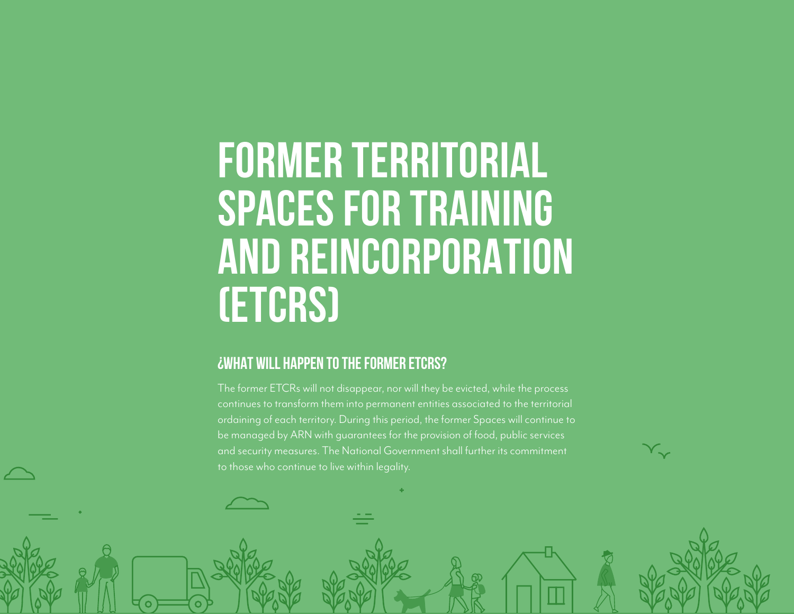# **FORMER TERRITORIAL SPACES FOR TRAINING AND REINCORPORATION (ETCRs)**

#### **¿WHAT WILL HAPPEN TO THE FORMER ETCRs?**

The former ETCRs will not disappear, nor will they be evicted, while the process ordaining of each territory. During this period, the former Spaces will continue to be managed by ARN with guarantees for the provision of food, public services and security measures. The National Government shall further its commitment to those who continue to live within legality.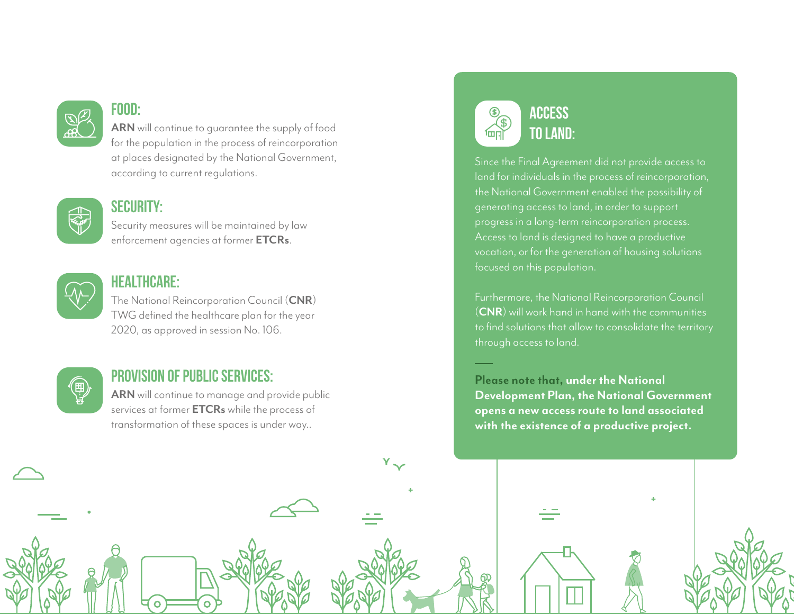

#### **food:**

**ARN** will continue to guarantee the supply of food for the population in the process of reincorporation at places designated by the National Government, according to current regulations.



#### **security:**

Security measures will be maintained by law enforcement agencies at former **ETCRs** .



#### **HEALTHCARE:**

The National Reincorporation Council (**CNR**) TWG defined the healthcare plan for the year 2020, as approved in session No. 106.



#### **PROVISION OF PUBLIC SERVICES:**

**ARN** will continue to manage and provide public services at former **ETCRs** while the process of transformation of these spaces is under way..

 $Y \sim$ 

#### **ACCESS TO LAND:**أبراهاً

Since the Final Agreement did not provide access to land for individuals in the process of reincorporation, the National Government enabled the possibility of generating access to land, in order to support progress in a long-term reincorporation process. Access to land is designed to have a productive vocation, or for the generation of housing solutions focused on this population.

Furthermore, the National Reincorporation Council (**CNR**) will work hand in hand with the communities to find solutions that allow to consolidate the territory through access to land.

**Please note that, under the National Development Plan, the National Government opens a new access route to land associated with the existence of a productive project.**